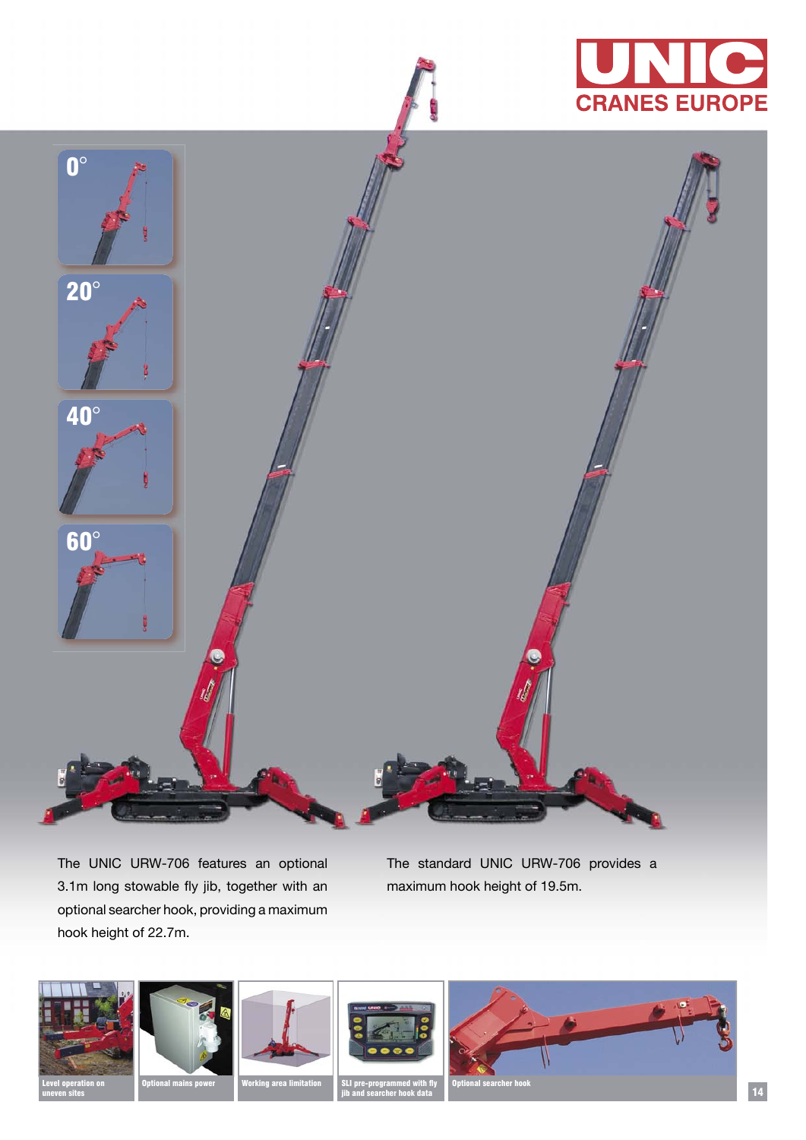



The UNIC URW-706 features an optional 3.1m long stowable fly jib, together with an optional searcher hook, providing a maximum hook height of 22.7m.

The standard UNIC URW-706 provides a maximum hook height of 19.5m.



uneven sites







SLI<sub>P</sub>

14